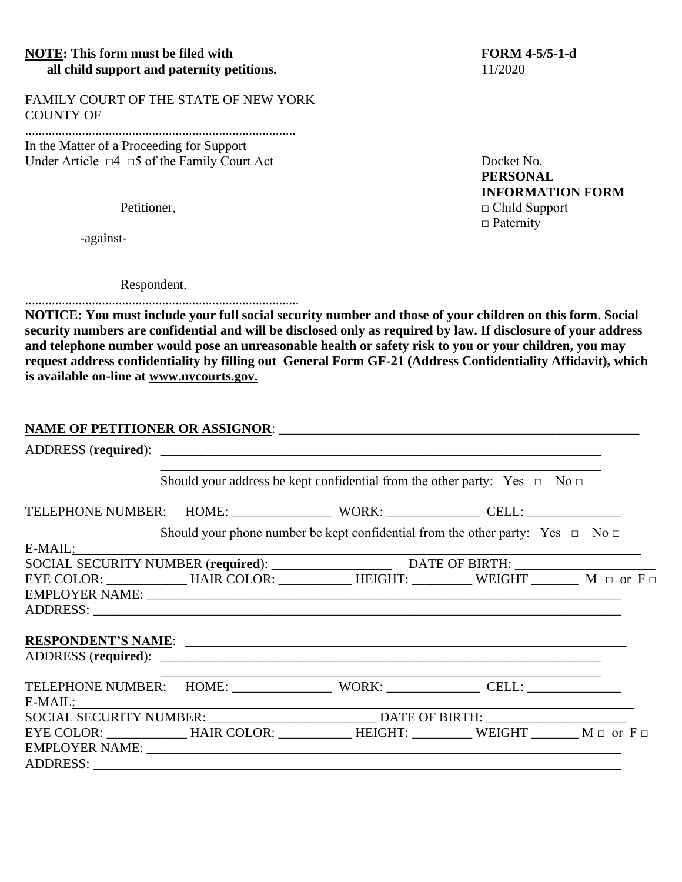## **NOTE:** This form must be filed with FORM 4-5/5-1-d **all child support and paternity petitions.** 11/2020

FAMILY COURT OF THE STATE OF NEW YORK COUNTY OF

.................................................................................

In the Matter of a Proceeding for Support Under Article  $□4 □5$  of the Family Court Act Docket No.

-against-

Respondent.

.................................................................................. **NOTICE: You must include your full social security number and those of your children on this form. Social security numbers are confidential and will be disclosed only as required by law. If disclosure of your address and telephone number would pose an unreasonable health or safety risk to you or your children, you may request address confidentiality by filling out General Form GF-21 (Address Confidentiality Affidavit), which is available on-line at [www.nycourts.gov.](http://www.nycourts.gov./)**

## **NAME OF PETITIONER OR ASSIGNOR**: \_\_\_\_\_\_\_\_\_\_\_\_\_\_\_\_\_\_\_\_\_\_\_\_\_\_\_\_\_\_\_\_\_\_\_\_\_\_\_\_\_\_\_\_\_\_\_\_\_\_\_\_\_\_

|                                                                                             | Should your address be kept confidential from the other party: Yes $\Box$ No $\Box$      |  |  |  |
|---------------------------------------------------------------------------------------------|------------------------------------------------------------------------------------------|--|--|--|
| TELEPHONE NUMBER: HOME: ________________ WORK: _____________ CELL: _____________            |                                                                                          |  |  |  |
|                                                                                             | Should your phone number be kept confidential from the other party: Yes $\Box$ No $\Box$ |  |  |  |
| $E-MAIL:$                                                                                   |                                                                                          |  |  |  |
|                                                                                             |                                                                                          |  |  |  |
| $EYE COLOR:$ HAIR COLOR: HEIGHT: WEIGHT M or F                                              |                                                                                          |  |  |  |
|                                                                                             |                                                                                          |  |  |  |
|                                                                                             |                                                                                          |  |  |  |
|                                                                                             |                                                                                          |  |  |  |
| RESPONDENT'S NAME:                                                                          |                                                                                          |  |  |  |
|                                                                                             |                                                                                          |  |  |  |
| TELEPHONE NUMBER: HOME: WORK: WORK: CELL: CELL:                                             |                                                                                          |  |  |  |
|                                                                                             | SOCIAL SECURITY NUMBER: ___________________________________DATE OF BIRTH: ______________ |  |  |  |
| EYE COLOR: ______________HAIR COLOR: ___________HEIGHT: __________WEIGHT ________M □ or F □ |                                                                                          |  |  |  |
|                                                                                             |                                                                                          |  |  |  |
|                                                                                             |                                                                                          |  |  |  |

**PERSONAL INFORMATION FORM** Petitioner, □ Child Support □ Paternity